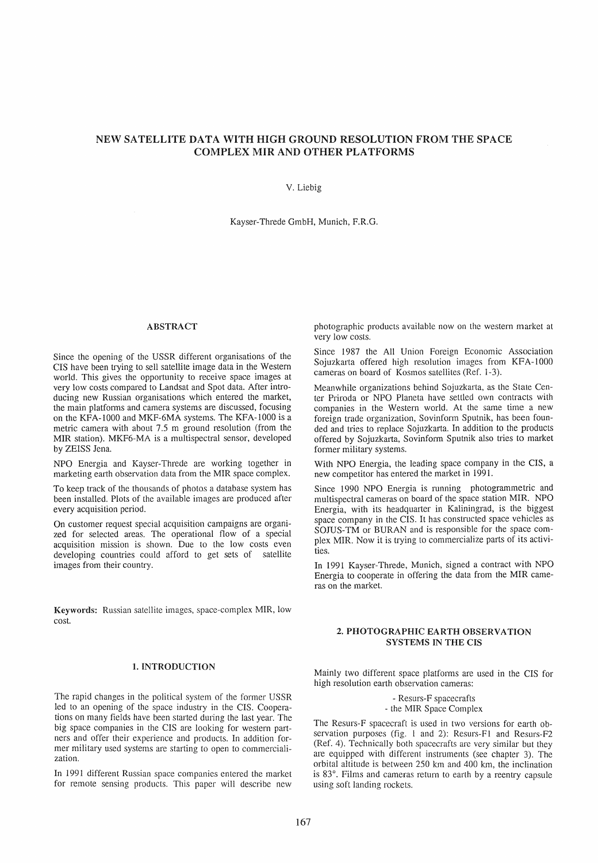# NEW SATELLITE DATA WITH HIGH GROUND RESOLUTION FROM THE SPACE COMPLEX MIR AND OTHER PLATFORMS

#### V. Liebig

Kayser-Threde GmbH, Munich, F.R.G.

# ABSTRACT

Since the opening of the USSR different organisations of the CIS have been trying to seil satellite image data in the Western world. This gives the opportunity to receive space images at very low costs compared to Landsat and Spot data. After introducing new Russian organisations which entered the market, the main platforms and camera systems are discussed, focusing on the KFA-IOOO and MKF-6MA systems. The KFA-lOOO is a metric camera with about 7.5 m ground resolution (from the MIR station). MKF6-MA is a multispectral sensor, developed by ZEISS Jena.

NPO Energia and Kayser-Threde are working together in marketing earth observation data from the MIR space complex.

To keep track of the thousands of photos a database system has been installed. Plots of the available images are produced after every acquisition period.

On customer request special acquisition campaigns are organized for selected areas. The operational flow of a special acquisition mission is shown. Due to the low costs even developing countries could afford to get sets of satellite images from their country.

Keywords: Russian satellite images, space-complex MIR, low cost.

# 1. INTRODUCTION

The rapid changes in the political system of the former USSR led to an opening of the space industry in the CIS. Cooperations on many fields have been started during the last year. The big space companies in the CIS are looking for western partners and offer their experience and products. In addition former military used systems are starting to open to commercialization.

In 1991 different Russian space companies entered the market for remote sensing products. This paper will describe new

photographic products available now on the western market at very low costs.

Since 1987 the All Union Foreign Economic Association Sojuzkarta offered high resolution images from KFA-IOOO cameras on board of Kosmos satellites (Ref. 1-3).

Meanwhile organizations behind Sojuzkarta, as the State Center Priroda or NPO Planeta have settled own contracts with companies in the Western world. At the same time a new foreign trade organization, Sovinform Sputnik, has been founded and tries to replace Sojuzkarta. In addition to the products offered by Sojuzkarta, Sovinform Sputnik also tries to market former military systems.

With NPO Energia, the leading space company in the CIS, a new competitor has entered the market in 1991.

Since 1990 NPO Energia is running photogrammetric and multispectral cameras on board of the space station MIR. NPO Energia, with its headquarter in Kaliningrad, is the biggest space company in the CIS. It has constructed space vehicles as SOJUS-TM or BURAN and is responsible for the space complex MIR. Now it is trying to commercialize parts of its activities.

In 1991 Kayser-Threde, Munich, signed a contract with NPO Energia to cooperate in offering the data from the MIR cameras on the market.

### 2. PHOTOGRAPHIC EARTH OBSERVATION SYSTEMS IN THE CIS

Mainly two different space platforms are used in the CIS for high resolution earth observation cameras:

> - Resurs-F spacecrafts - the MIR Space Complex

The Resurs-F spacecraft is used in two versions for earth observation purposes (fig. 1 and 2): Resurs-Fl and Resurs-F2 (Ref. 4). Technically both spacecrafts are very similar but they are equipped with different instruments (see chapter 3). The orbital altitude is between 250 km and 400 km, the inclination is 83°. Films and cameras return to earth by a reentry capsule using soft landing rockets.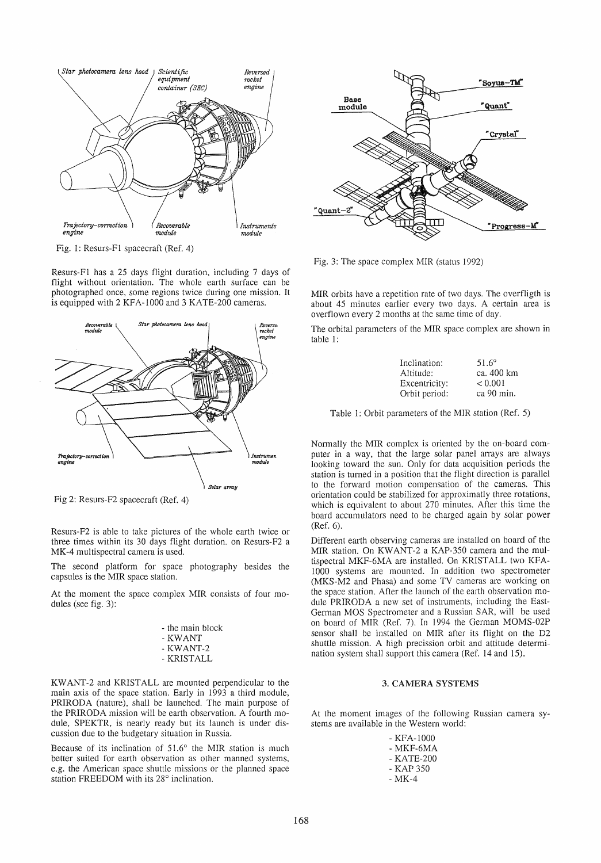

Fig. 1: Resurs-Fl spacecraft (Ref. 4)

Resurs-Fl has a 25 days flight duration, including 7 days of flight without orientation. The whole earth surface can be photographed once, some regions twice during one mission. It is equipped with 2 KFA-1000 and 3 KATE-200 cameras.



Fig 2: Resurs-F2 spacecraft (Ref. 4)

Resurs-F2 is able to take pictures of the whole earth twice or three times within its 30 days flight duration. on Resurs-F2 a MK-4 multispectral camera is used.

The second platform for space photography besides the capsules is the MIR space station.

At the moment the space complex MIR consists of four modules (see fig. 3):

| - the main block |
|------------------|
| - KWANT          |
| - KWANT-2        |
| - KRISTALL       |

KW ANT-2 and KRISTALL are mounted perpendicular to the main axis of the space station. Early in 1993 a third module, PRIRODA (nature), shall be launched. The main purpose of the PRIRODA mission will be earth observation. A fourth module, SPEKTR, is nearly ready but its launch is under discussion due to the budgetary situation in Russia.

Because of its inclination of 51.6° the MIR station is much better suited for earth observation as other manned systems, e.g. the American space shuttle missions or the planned space station FREEDOM with its 28° inclination.



Fig. 3: The space complex MIR (status 1992)

MIR orbits have a repetition rate of two days. The overfligth is about 45 minutes earlier every two days. A certain area is overflown every 2 months at the same time of day.

The orbital parameters of the MIR space complex are shown in table 1:

| Inclination:  | $51.6^{\circ}$ |
|---------------|----------------|
| Altitude:     | ca. 400 km     |
| Excentricity: | < 0.001        |
| Orbit period: | ca 90 min.     |

Table 1: Orbit parameters of the MIR station (Ref. 5)

Normally the MIR complex is oriented by the on-board computer in a way, that the large solar panel arrays are always looking toward the sun. Only for data acquisition periods the station is turned in a position that the flight direction is parallel to the forward motion compensation of the cameras. This arientation could be stabilized for approximatly three rotations, which is equivalent to about 270 minutes. After this time the board accumulators need to be charged again by solar power (Ref. 6).

Different earth observing cameras are installed on board of the MIR station. On KWANT-2 a KAP-350 camera and the multispectral MKF-6MA are installed. On KRISTALL two KFA-1000 systems are mounted. In addition two spectrometer (MKS-M2 and Phasa) and some TV cameras are warking on the space station. After the launch of the earth observation module PRIRODA a new set of instruments, including the East-German MOS Spectrometer and a Russian SAR, will be used on board of MIR (Ref. 7). In 1994 the German MOMS-02P sensor shall be installed on MIR after its flight on the D2 shuttle mission. A high precission orbit and attitude determination system shall support this camera (Ref. 14 and 15).

### 3. CAMERA SYSTEMS

At the moment images of the following Russian camera systems are available in the Western world:

| - KFA-1000 |
|------------|
| - MKF-6MA  |
| - KATE-200 |
| - KAP 350  |
| - MK-4     |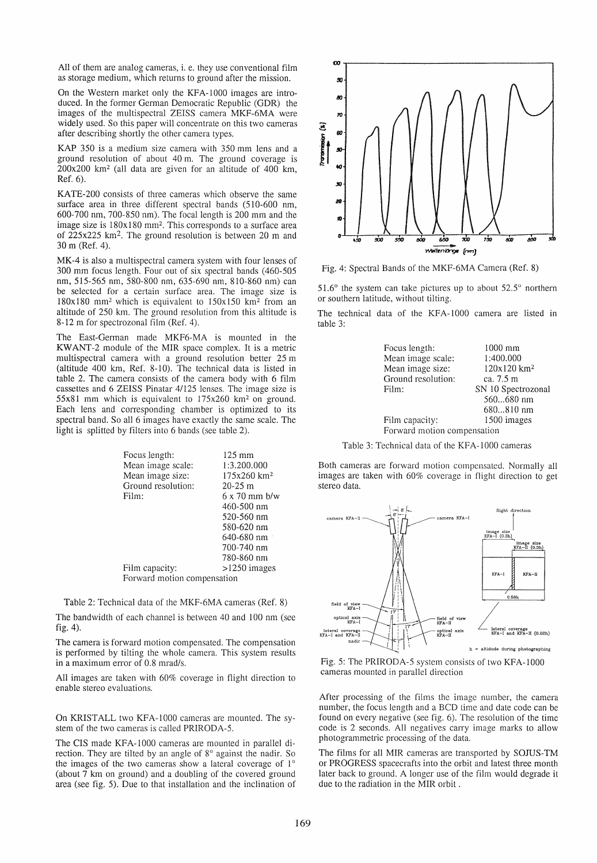All of them are analog cameras, i. e. they use conventional film as storage medium, which returns to ground after the mission.

On the Western market only the KFA-1000 images are introduced. In the former German Oemocratic Republic (GOR) the images of the multispectral ZEISS camera MKF-6MA were widely used. So this paper will concentrate on this two cameras after describing shortly the other camera types.

KAP 350 is a medium size camera with 350 mm lens and a ground resolution of about 40 m. The ground coverage is 200x200 km2 (all data are given for an altitude of 400 km, Ref.6).

KATE-200 consists of three cameras which observe the same surface area in three different spectral bands (510-600 nm, 600-700 nm, 700-850 nm). The focal length is 200 mm and the image size is  $180x180$  mm<sup>2</sup>. This corresponds to a surface area of 225x225 km2. The ground resolution is between 20 m and 30 m (Ref. 4).

MK-4 is also a multispectral camera system with four lenses of 300 mm focus length. Four out of six spectral bands (460-505 nm, 515-565 nm, 580-800 nm, 635-690 nm, 810-860 nm) can be selected for a certain surface area. The image size is  $180x180$  mm<sup>2</sup> which is equivalent to  $150x150$  km<sup>2</sup> from an altitude of 250 km. The ground resolution from this altitude is 8-12 m for spectrozonal film (Ref. 4).

The East-German made MKF6-MA is mounted in the KWANT-2 module of the MIR space complex. It is a metric multispectral camera with a ground resolution better 25 m (altitude 400 km, Ref. 8-10). The technical data is listed in table 2. The camera consists of the camera body with 6 film cassettes and 6 ZEISS Pinatar 4/125 lenses. The image size is  $55x81$  mm which is equivalent to  $175x260$  km<sup>2</sup> on ground. Each lens and corresponding chamber is optimized to its spectral band. So all 6 images have exactly the same scale. The light is splitted by filters into 6 bands (see table 2).

| Focus length:               | $125 \text{ mm}$        |  |  |  |  |
|-----------------------------|-------------------------|--|--|--|--|
| Mean image scale:           | 1:3.200.000             |  |  |  |  |
| Mean image size:            | 175x260 km <sup>2</sup> |  |  |  |  |
| Ground resolution:          | $20-25$ m               |  |  |  |  |
| Film:                       | $6 \times 70$ mm $b/w$  |  |  |  |  |
|                             | 460-500 nm              |  |  |  |  |
|                             | 520-560 nm              |  |  |  |  |
|                             | 580-620 nm              |  |  |  |  |
|                             | 640-680 nm $\cdot$      |  |  |  |  |
|                             | 700-740 nm              |  |  |  |  |
|                             | 780-860 nm              |  |  |  |  |
| Film capacity:              | $>1250$ images          |  |  |  |  |
| Forward motion compensation |                         |  |  |  |  |

Table 2: Technical data of the MKF-6MA cameras (Ref. 8)

The bandwidth of each channel is between 40 and 100 nm (see fig.4).

The camera is forward motion compensated. The compensation is performed by tilting the whole camera. This system results in a maximum error of 0.8 mrad/s.

All images are taken with 60% coverage in flight direction to enable stereo evaluations.

On KRISTALL two KFA-1000 cameras are mounted. The system of the two cameras is called PRIRODA-5.

The CIS made KFA-1000 cameras are mounted in parallel direction. They are tilted by an angle of 8° against the nadir. So the images of the two cameras show a lateral coverage of  $1^\circ$ (about 7 km on ground) and a doubling of the covered ground area (see fig. 5). Oue to that installation and the inclination of



Fig. 4: Spectral Bands of the MKF-6MA Camera (Ref. 8)

 $51.6^\circ$  the system can take pictures up to about  $52.5^\circ$  northern or southern latitude, without tilting.

The technical data of the KFA-1000 camera are listed in table 3:

| Focus length:               | $1000$ mm               |  |  |
|-----------------------------|-------------------------|--|--|
| Mean image scale:           | 1:400.000               |  |  |
| Mean image size:            | 120x120 km <sup>2</sup> |  |  |
| Ground resolution:          | ca. 7.5 m               |  |  |
| Film:                       | SN 10 Spectrozonal      |  |  |
|                             | 560680 nm               |  |  |
|                             | 680810 nm               |  |  |
| Film capacity:              | 1500 images             |  |  |
| Forward motion compensation |                         |  |  |

Table 3: Technical data of the KFA-1000 cameras

Both cameras are forward motion compensated. Normally all images are taken with 60% coverage in flight direction to get stereo data.



Fig. 5: The PRIROOA-5 system consists of two KFA-IOOO cameras mounted in parallel direction

After processing of the films the image number, the camera number, the focus length and a BCO time and date code can be found on every negative (see fig. 6). The resolution of the time code is 2 seconds. All negatives carry image marks to allow photogrammetric processing of the data.

The films for all MIR cameras are transported by SOJUS-TM or PROGRESS spacecrafts into the orbit and latest three month Iater back to ground. A longer use of the film would degrade it due to the radiation in the MIR orbit .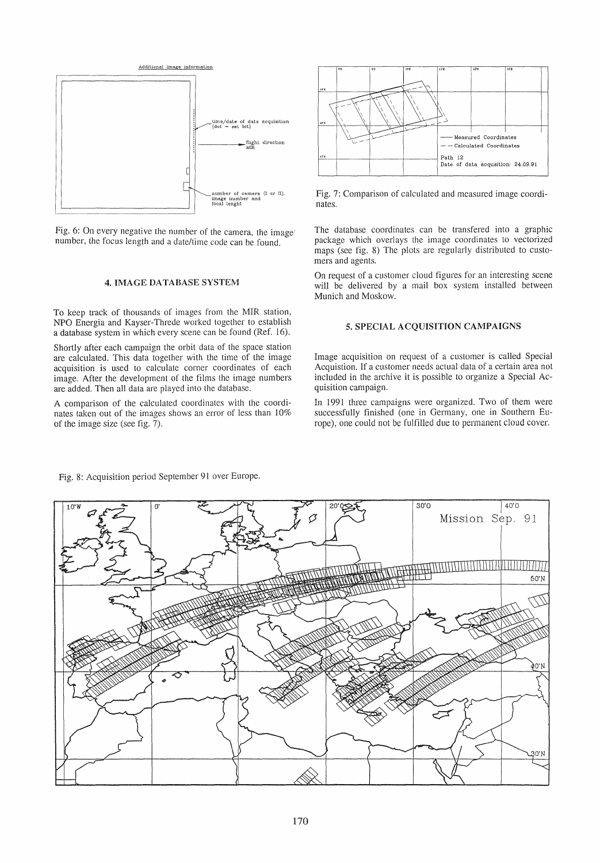

Fig. 6: On every negative the number of the camera, the image number, the focus length and a date/time code can be found.

#### 4. IMAGE DATABASE SYSTEM

To keep track of thousands of images from the MIR station, NPO Energia and Kayser-Threde worked together to establish a database system in which every scene can be found (Ref. 16).

Shortly after each campaign the orbit data of the space station are calculated. This data together with the time of the image acquisition is used to calculate corner coordinates of each image. After the development of the films the image numbers are added. Then all data are played into the database.

A comparison of the calculated coordinates with the coordinates taken out of the images shows an error of less than 10% of the image size (see fig. 7).



Fig. 7: Comparison of calculated and measured image coordinates.

The database coordinates can be transfered into a graphic package which overlays the image coordinates to vectorized maps (see fig. 8) The plots are regularly distributed to customers and agents.

On request of a customer cloud figures for an interesting scene will be delivered by a mail box system installed between Munich and Moskow.

# 5. SPECIAL ACQUISITION CAMPAIGNS

Image acquisition on request of a customer is called Special Acquistion. If a customer needs actual data of a certain area not included in the archive it is possible to organize a Special Acquisition campaign.

In 1991 three campaigns were organized. Two of them were successfully finished (one in Germany, one in Southern Europe), one could not be fulfilled due to permanent cloud cover.



Fig. 8: Acquisition period September 91 over Europe.